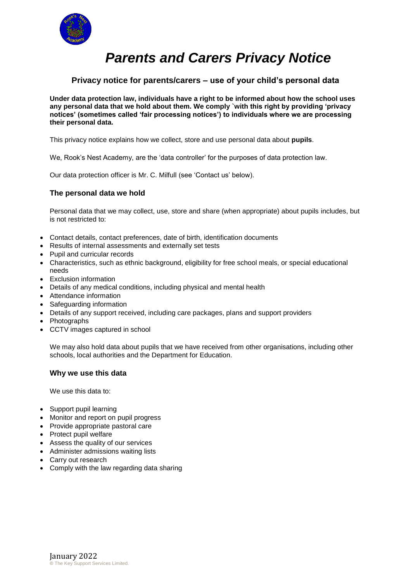

# *Parents and Carers Privacy Notice*

# **Privacy notice for parents/carers – use of your child's personal data**

**Under data protection law, individuals have a right to be informed about how the school uses any personal data that we hold about them. We comply `with this right by providing 'privacy notices' (sometimes called 'fair processing notices') to individuals where we are processing their personal data.**

This privacy notice explains how we collect, store and use personal data about **pupils**.

We, Rook's Nest Academy, are the 'data controller' for the purposes of data protection law.

Our data protection officer is Mr. C. Milfull (see 'Contact us' below).

# **The personal data we hold**

Personal data that we may collect, use, store and share (when appropriate) about pupils includes, but is not restricted to:

- Contact details, contact preferences, date of birth, identification documents
- Results of internal assessments and externally set tests
- Pupil and curricular records
- Characteristics, such as ethnic background, eligibility for free school meals, or special educational needs
- Exclusion information
- Details of any medical conditions, including physical and mental health
- Attendance information
- Safeguarding information
- Details of any support received, including care packages, plans and support providers
- Photographs
- CCTV images captured in school

We may also hold data about pupils that we have received from other organisations, including other schools, local authorities and the Department for Education.

#### **Why we use this data**

We use this data to:

- Support pupil learning
- Monitor and report on pupil progress
- Provide appropriate pastoral care
- Protect pupil welfare
- Assess the quality of our services
- Administer admissions waiting lists
- Carry out research
- Comply with the law regarding data sharing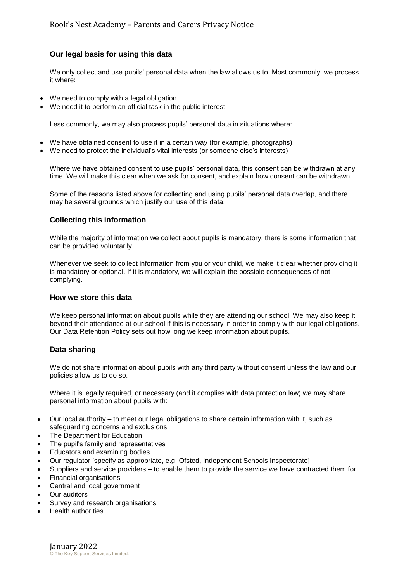## **Our legal basis for using this data**

We only collect and use pupils' personal data when the law allows us to. Most commonly, we process it where:

- We need to comply with a legal obligation
- We need it to perform an official task in the public interest

Less commonly, we may also process pupils' personal data in situations where:

- We have obtained consent to use it in a certain way (for example, photographs)
- We need to protect the individual's vital interests (or someone else's interests)

Where we have obtained consent to use pupils' personal data, this consent can be withdrawn at any time. We will make this clear when we ask for consent, and explain how consent can be withdrawn.

Some of the reasons listed above for collecting and using pupils' personal data overlap, and there may be several grounds which justify our use of this data.

## **Collecting this information**

While the majority of information we collect about pupils is mandatory, there is some information that can be provided voluntarily.

Whenever we seek to collect information from you or your child, we make it clear whether providing it is mandatory or optional. If it is mandatory, we will explain the possible consequences of not complying.

#### **How we store this data**

We keep personal information about pupils while they are attending our school. We may also keep it beyond their attendance at our school if this is necessary in order to comply with our legal obligations. Our Data Retention Policy sets out how long we keep information about pupils.

#### **Data sharing**

We do not share information about pupils with any third party without consent unless the law and our policies allow us to do so.

Where it is legally required, or necessary (and it complies with data protection law) we may share personal information about pupils with:

- Our local authority to meet our legal obligations to share certain information with it, such as safeguarding concerns and exclusions
- The Department for Education
- The pupil's family and representatives
- Educators and examining bodies
- Our regulator [specify as appropriate, e.g. Ofsted, Independent Schools Inspectorate]
- Suppliers and service providers to enable them to provide the service we have contracted them for
- Financial organisations
- Central and local government
- Our auditors
- Survey and research organisations
- Health authorities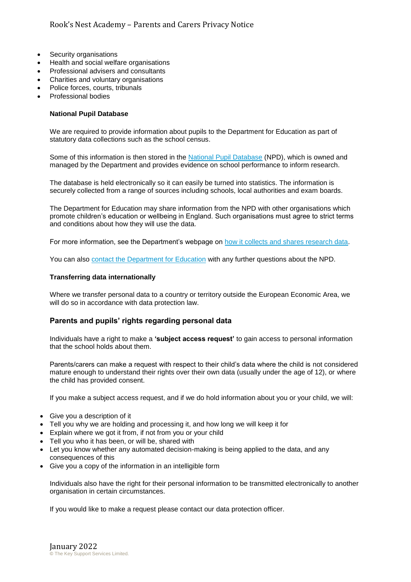- Security organisations
- Health and social welfare organisations
- Professional advisers and consultants
- Charities and voluntary organisations
- Police forces, courts, tribunals
- Professional bodies

#### **National Pupil Database**

We are required to provide information about pupils to the Department for Education as part of statutory data collections such as the school census.

Some of this information is then stored in the [National Pupil Database](https://www.gov.uk/government/publications/national-pupil-database-user-guide-and-supporting-information) (NPD), which is owned and managed by the Department and provides evidence on school performance to inform research.

The database is held electronically so it can easily be turned into statistics. The information is securely collected from a range of sources including schools, local authorities and exam boards.

The Department for Education may share information from the NPD with other organisations which promote children's education or wellbeing in England. Such organisations must agree to strict terms and conditions about how they will use the data.

For more information, see the Department's webpage on [how it collects and shares research data.](https://www.gov.uk/data-protection-how-we-collect-and-share-research-data)

You can also [contact the Department for Education](https://www.gov.uk/contact-dfe) with any further questions about the NPD.

#### **Transferring data internationally**

Where we transfer personal data to a country or territory outside the European Economic Area, we will do so in accordance with data protection law.

# **Parents and pupils' rights regarding personal data**

Individuals have a right to make a **'subject access request'** to gain access to personal information that the school holds about them.

Parents/carers can make a request with respect to their child's data where the child is not considered mature enough to understand their rights over their own data (usually under the age of 12), or where the child has provided consent.

If you make a subject access request, and if we do hold information about you or your child, we will:

- Give you a description of it
- Tell you why we are holding and processing it, and how long we will keep it for
- Explain where we got it from, if not from you or your child
- Tell you who it has been, or will be, shared with
- Let you know whether any automated decision-making is being applied to the data, and any consequences of this
- Give you a copy of the information in an intelligible form

Individuals also have the right for their personal information to be transmitted electronically to another organisation in certain circumstances.

If you would like to make a request please contact our data protection officer.